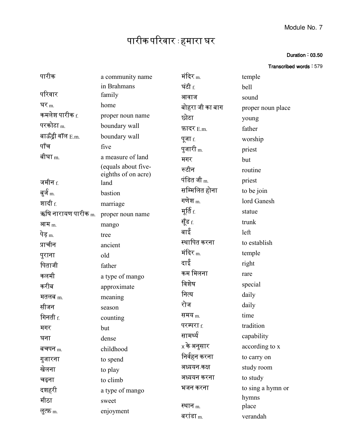## Duration : 03.50

| Transcribed words: 579 |  |  |  |  |
|------------------------|--|--|--|--|
|------------------------|--|--|--|--|

| पारीक                          | a community name            | मंदिर <sub>m.</sub>             | temple            |
|--------------------------------|-----------------------------|---------------------------------|-------------------|
|                                | in Brahmans                 | घंटी f.                         | bell              |
| परिवार                         | family                      | आवाज                            | sound             |
| घर $_{\rm m}$                  | home                        | बोहरा जी का बाग                 | proper noun place |
| कमलेश पारीक <u>f</u>           | proper noun name            | छोटा                            | young             |
| परकोटा $m$                     | boundary wall               | फ़ादर $E.m.$                    | father            |
| बाऊँड्री वॉल E.m.              | boundary wall               | पूजा f.                         | worship           |
| पॉच                            | five                        | पुजारी <sub>m.</sub>            | priest            |
| बीघा <sub>m.</sub>             | a measure of land           | मगर                             | but               |
|                                | (equals about five-         | रूटीन                           | routine           |
| जमीन $_{\rm f.}$               | eighths of on acre)<br>land | पंडित जी $_{\rm m}$             | priest            |
| बुर्ज <sub>m.</sub>            | bastion                     | सम्मिलित होना                   | to be join        |
| शादी <u>f</u>                  | marriage                    | गणेश $_{\rm m}$                 | lord Ganesh       |
| ऋषि नारायण पारीक <sub>m.</sub> | proper noun name            | मूर्ति <sub>f.</sub>            | statue            |
| आम $m$                         | mango                       | सूँड f.                         | trunk             |
| पेड़ <sub>m.</sub>             | tree                        | बाई                             | left              |
| प्राचीन                        | ancient                     | स्थापित करना                    | to establish      |
| पुराना                         | old                         | मंदिर $_{\rm m}$                | temple            |
| पिताजी                         | father                      | दाई                             | right             |
| कलमी                           | a type of mango             | कम मिलना                        | rare              |
| करीब                           | approximate                 | विशेष                           | special           |
| मतलब $m$                       | meaning                     | नित्य                           | daily             |
| सीजन                           | season                      | रोज                             | daily             |
| गिनती $_{\rm f.}$              | counting                    | समय <sub>m.</sub>               | time              |
| मगर                            | but                         | परम्परा <sub>f.</sub>           | tradition         |
| घना                            | dense                       | सामर्थ्य                        | capability        |
| बचपन $m$                       | childhood                   | $\mathrm{\mathsf{x}}$ के अनुसार | according to x    |
| गुजारना                        | to spend                    | निर्वहन करना                    | to carry on       |
| खेलना                          | to play                     | अध्ययन-कक्ष                     | study room        |
| चढ़ना                          | to climb                    | अध्ययन करना                     | to study          |
| दशहरी                          | a type of mango             | भजन करना                        | to sing a hymn or |
| मीठा                           | sweet                       |                                 | hymns             |
| लु्त्फ़ <sub>m.</sub>          | enjoyment                   | स्थान <sub>m.</sub>             | place             |
|                                |                             | बरांडा $_{\rm m}$               | verandah          |